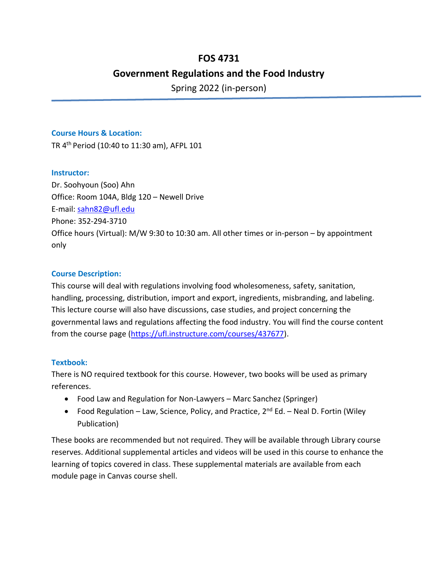# **FOS 4731**

# **Government Regulations and the Food Industry**

Spring 2022 (in-person)

### **Course Hours & Location:**

TR 4 th Period (10:40 to 11:30 am), AFPL 101

### **Instructor:**

Dr. Soohyoun (Soo) Ahn Office: Room 104A, Bldg 120 – Newell Drive E-mail: [sahn82@ufl.edu](mailto:sahn82@ufl.edu) Phone: 352-294-3710 Office hours (Virtual): M/W 9:30 to 10:30 am. All other times or in-person – by appointment only

### **Course Description:**

This course will deal with regulations involving food wholesomeness, safety, sanitation, handling, processing, distribution, import and export, ingredients, misbranding, and labeling. This lecture course will also have discussions, case studies, and project concerning the governmental laws and regulations affecting the food industry. You will find the course content from the course page [\(https://ufl.instructure.com/courses/437677\)](https://ufl.instructure.com/courses/437677).

## **Textbook:**

There is NO required textbook for this course. However, two books will be used as primary references.

- Food Law and Regulation for Non-Lawyers Marc Sanchez (Springer)
- Food Regulation Law, Science, Policy, and Practice,  $2^{nd}$  Ed. Neal D. Fortin (Wiley Publication)

These books are recommended but not required. They will be available through Library course reserves. Additional supplemental articles and videos will be used in this course to enhance the learning of topics covered in class. These supplemental materials are available from each module page in Canvas course shell.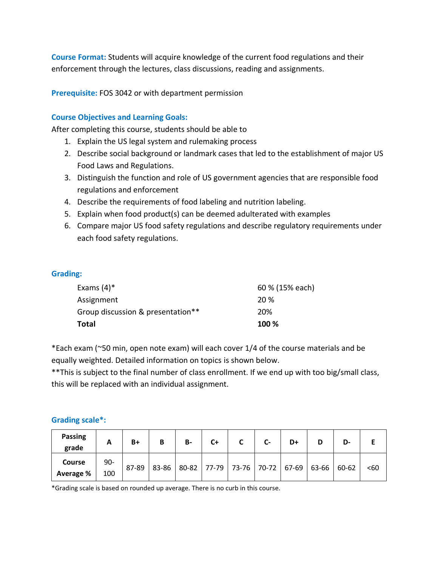**Course Format:** Students will acquire knowledge of the current food regulations and their enforcement through the lectures, class discussions, reading and assignments.

**Prerequisite:** FOS 3042 or with department permission

### **Course Objectives and Learning Goals:**

After completing this course, students should be able to

- 1. Explain the US legal system and rulemaking process
- 2. Describe social background or landmark cases that led to the establishment of major US Food Laws and Regulations.
- 3. Distinguish the function and role of US government agencies that are responsible food regulations and enforcement
- 4. Describe the requirements of food labeling and nutrition labeling.
- 5. Explain when food product(s) can be deemed adulterated with examples
- 6. Compare major US food safety regulations and describe regulatory requirements under each food safety regulations.

### **Grading:**

| Total                             | 100 %           |
|-----------------------------------|-----------------|
| Group discussion & presentation** | 20%             |
| Assignment                        | 20 %            |
| Exams $(4)^*$                     | 60 % (15% each) |

\*Each exam (~50 min, open note exam) will each cover 1/4 of the course materials and be equally weighted. Detailed information on topics is shown below.

\*\*This is subject to the final number of class enrollment. If we end up with too big/small class, this will be replaced with an individual assignment.

#### **Grading scale\*:**

| <b>Passing</b><br>grade    | A            | $B+$  | В     | <b>B-</b> | $C+$ | C                                             | $\mathsf{C}$ | D+ | D-    |     |
|----------------------------|--------------|-------|-------|-----------|------|-----------------------------------------------|--------------|----|-------|-----|
| <b>Course</b><br>Average % | $90-$<br>100 | 87-89 | 83-86 |           |      | 80-82   77-79   73-76   70-72   67-69   63-66 |              |    | 60-62 | <60 |

\*Grading scale is based on rounded up average. There is no curb in this course.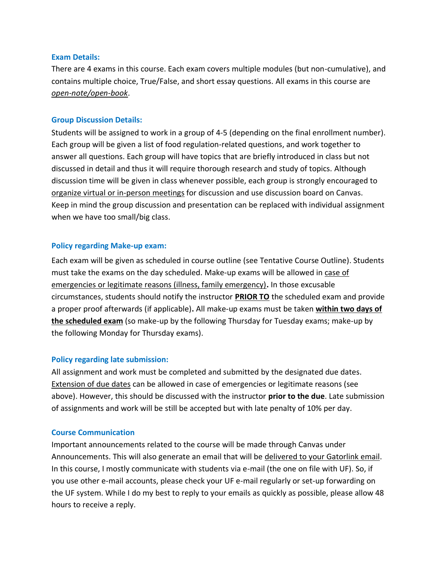### **Exam Details:**

There are 4 exams in this course. Each exam covers multiple modules (but non-cumulative), and contains multiple choice, True/False, and short essay questions. All exams in this course are *open-note/open-book*.

### **Group Discussion Details:**

Students will be assigned to work in a group of 4-5 (depending on the final enrollment number). Each group will be given a list of food regulation-related questions, and work together to answer all questions. Each group will have topics that are briefly introduced in class but not discussed in detail and thus it will require thorough research and study of topics. Although discussion time will be given in class whenever possible, each group is strongly encouraged to organize virtual or in-person meetings for discussion and use discussion board on Canvas. Keep in mind the group discussion and presentation can be replaced with individual assignment when we have too small/big class.

### **Policy regarding Make-up exam:**

Each exam will be given as scheduled in course outline (see Tentative Course Outline). Students must take the exams on the day scheduled. Make-up exams will be allowed in case of emergencies or legitimate reasons (illness, family emergency)**.** In those excusable circumstances, students should notify the instructor **PRIOR TO** the scheduled exam and provide a proper proof afterwards (if applicable)**.** All make-up exams must be taken **within two days of the scheduled exam** (so make-up by the following Thursday for Tuesday exams; make-up by the following Monday for Thursday exams).

### **Policy regarding late submission:**

All assignment and work must be completed and submitted by the designated due dates. Extension of due dates can be allowed in case of emergencies or legitimate reasons (see above). However, this should be discussed with the instructor **prior to the due**. Late submission of assignments and work will be still be accepted but with late penalty of 10% per day.

### **Course Communication**

Important announcements related to the course will be made through Canvas under Announcements. This will also generate an email that will be delivered to your Gatorlink email. In this course, I mostly communicate with students via e-mail (the one on file with UF). So, if you use other e-mail accounts, please check your UF e-mail regularly or set-up forwarding on the UF system. While I do my best to reply to your emails as quickly as possible, please allow 48 hours to receive a reply.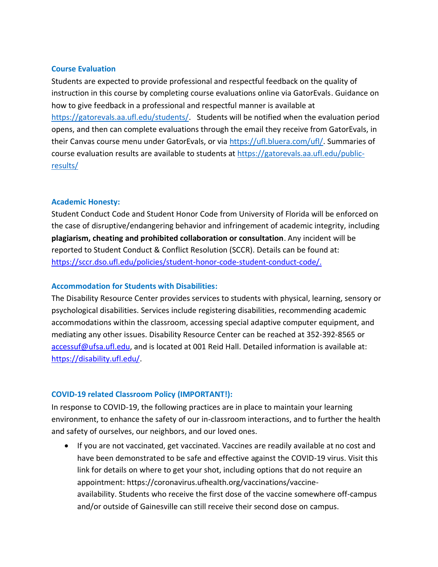#### **Course Evaluation**

Students are expected to provide professional and respectful feedback on the quality of instruction in this course by completing course evaluations online via GatorEvals. Guidance on how to give feedback in a professional and respectful manner is available at [https://gatorevals.aa.ufl.edu/students/.](https://gatorevals.aa.ufl.edu/students/) Students will be notified when the evaluation period opens, and then can complete evaluations through the email they receive from GatorEvals, in their Canvas course menu under GatorEvals, or via [https://ufl.bluera.com/ufl/.](https://ufl.bluera.com/ufl/) Summaries of course evaluation results are available to students at [https://gatorevals.aa.ufl.edu/public](https://gatorevals.aa.ufl.edu/public-results/)[results/](https://gatorevals.aa.ufl.edu/public-results/)

#### **Academic Honesty:**

Student Conduct Code and Student Honor Code from University of Florida will be enforced on the case of disruptive/endangering behavior and infringement of academic integrity, including **plagiarism, cheating and prohibited collaboration or consultation**. Any incident will be reported to Student Conduct & Conflict Resolution (SCCR). Details can be found at: [https://sccr.dso.ufl.edu/policies/student-honor-code-student-conduct-code/.](https://sccr.dso.ufl.edu/policies/student-honor-code-student-conduct-code/)

#### **Accommodation for Students with Disabilities:**

The Disability Resource Center provides services to students with physical, learning, sensory or psychological disabilities. Services include registering disabilities, recommending academic accommodations within the classroom, accessing special adaptive computer equipment, and mediating any other issues. Disability Resource Center can be reached at 352-392-8565 or [accessuf@ufsa.ufl.edu,](mailto:accessuf@dso.ufl.edu) and is located at 001 Reid Hall. Detailed information is available at: [https://disability.ufl.edu/.](https://disability.ufl.edu/)

### **COVID-19 related Classroom Policy (IMPORTANT!):**

In response to COVID-19, the following practices are in place to maintain your learning environment, to enhance the safety of our in-classroom interactions, and to further the health and safety of ourselves, our neighbors, and our loved ones.

• If you are not vaccinated, get vaccinated. Vaccines are readily available at no cost and have been demonstrated to be safe and effective against the COVID-19 virus. Visit this link for details on where to get your shot, including options that do not require an appointment: https://coronavirus.ufhealth.org/vaccinations/vaccineavailability. Students who receive the first dose of the vaccine somewhere off-campus and/or outside of Gainesville can still receive their second dose on campus.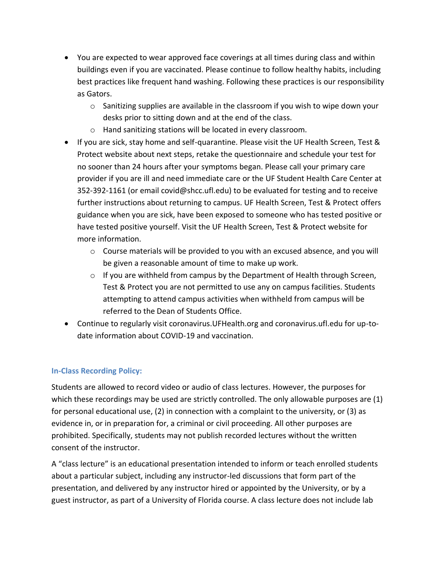- You are expected to wear approved face coverings at all times during class and within buildings even if you are vaccinated. Please continue to follow healthy habits, including best practices like frequent hand washing. Following these practices is our responsibility as Gators.
	- o Sanitizing supplies are available in the classroom if you wish to wipe down your desks prior to sitting down and at the end of the class.
	- o Hand sanitizing stations will be located in every classroom.
- If you are sick, stay home and self-quarantine. Please visit the UF Health Screen, Test & Protect website about next steps, retake the questionnaire and schedule your test for no sooner than 24 hours after your symptoms began. Please call your primary care provider if you are ill and need immediate care or the UF Student Health Care Center at 352-392-1161 (or email covid@shcc.ufl.edu) to be evaluated for testing and to receive further instructions about returning to campus. UF Health Screen, Test & Protect offers guidance when you are sick, have been exposed to someone who has tested positive or have tested positive yourself. Visit the UF Health Screen, Test & Protect website for more information.
	- $\circ$  Course materials will be provided to you with an excused absence, and you will be given a reasonable amount of time to make up work.
	- $\circ$  If you are withheld from campus by the Department of Health through Screen, Test & Protect you are not permitted to use any on campus facilities. Students attempting to attend campus activities when withheld from campus will be referred to the Dean of Students Office.
- Continue to regularly visit coronavirus.UFHealth.org and coronavirus.ufl.edu for up-todate information about COVID-19 and vaccination.

## **In-Class Recording Policy:**

Students are allowed to record video or audio of class lectures. However, the purposes for which these recordings may be used are strictly controlled. The only allowable purposes are (1) for personal educational use, (2) in connection with a complaint to the university, or (3) as evidence in, or in preparation for, a criminal or civil proceeding. All other purposes are prohibited. Specifically, students may not publish recorded lectures without the written consent of the instructor.

A "class lecture" is an educational presentation intended to inform or teach enrolled students about a particular subject, including any instructor-led discussions that form part of the presentation, and delivered by any instructor hired or appointed by the University, or by a guest instructor, as part of a University of Florida course. A class lecture does not include lab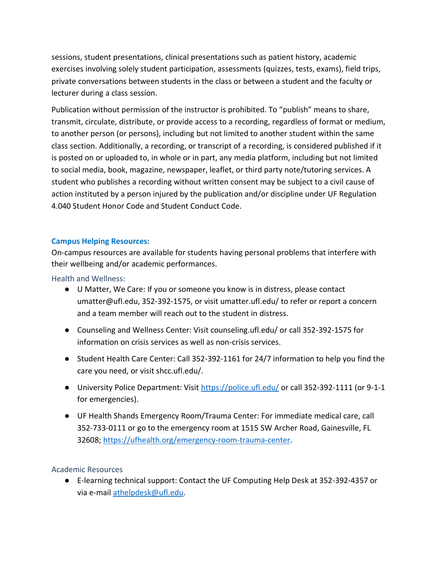sessions, student presentations, clinical presentations such as patient history, academic exercises involving solely student participation, assessments (quizzes, tests, exams), field trips, private conversations between students in the class or between a student and the faculty or lecturer during a class session.

Publication without permission of the instructor is prohibited. To "publish" means to share, transmit, circulate, distribute, or provide access to a recording, regardless of format or medium, to another person (or persons), including but not limited to another student within the same class section. Additionally, a recording, or transcript of a recording, is considered published if it is posted on or uploaded to, in whole or in part, any media platform, including but not limited to social media, book, magazine, newspaper, leaflet, or third party note/tutoring services. A student who publishes a recording without written consent may be subject to a civil cause of action instituted by a person injured by the publication and/or discipline under UF Regulation 4.040 Student Honor Code and Student Conduct Code.

### **Campus Helping Resources:**

On-campus resources are available for students having personal problems that interfere with their wellbeing and/or academic performances.

Health and Wellness:

- U Matter, We Care: If you or someone you know is in distress, please contact umatter@ufl.edu, 352-392-1575, or visit umatter.ufl.edu/ to refer or report a concern and a team member will reach out to the student in distress.
- Counseling and Wellness Center: Visit counseling.ufl.edu/ or call 352-392-1575 for information on crisis services as well as non-crisis services.
- Student Health Care Center: Call 352-392-1161 for 24/7 information to help you find the care you need, or visit shcc.ufl.edu/.
- University Police Department: Visit<https://police.ufl.edu/> or call 352-392-1111 (or 9-1-1 for emergencies).
- UF Health Shands Emergency Room/Trauma Center: For immediate medical care, call 352-733-0111 or go to the emergency room at 1515 SW Archer Road, Gainesville, FL 32608; [https://ufhealth.org/emergency-room-trauma-center.](https://ufhealth.org/emergency-room-trauma-center)

### Academic Resources

● E-learning technical support: Contact the UF Computing Help Desk at 352-392-4357 or via e-mail [athelpdesk@ufl.edu.](mailto:athelpdesk@ufl.edu)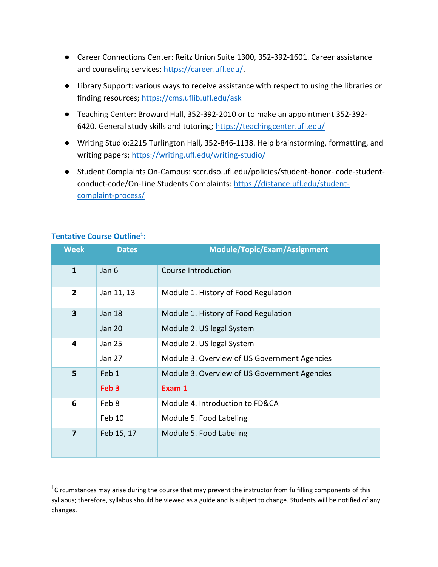- Career Connections Center: Reitz Union Suite 1300, 352-392-1601. Career assistance and counseling services; [https://career.ufl.edu/.](https://career.ufl.edu/)
- Library Support: various ways to receive assistance with respect to using the libraries or finding resources;<https://cms.uflib.ufl.edu/ask>
- Teaching Center: Broward Hall, 352-392-2010 or to make an appointment 352-392 6420. General study skills and tutoring;<https://teachingcenter.ufl.edu/>
- Writing Studio:2215 Turlington Hall, 352-846-1138. Help brainstorming, formatting, and writing papers;<https://writing.ufl.edu/writing-studio/>
- Student Complaints On-Campus: sccr.dso.ufl.edu/policies/student-honor- code-studentconduct-code/On-Line Students Complaints: [https://distance.ufl.edu/student](https://distance.ufl.edu/student-complaint-process/)[complaint-process/](https://distance.ufl.edu/student-complaint-process/)

| <b>Week</b>    | <b>Dates</b>     | <b>Module/Topic/Exam/Assignment</b>          |
|----------------|------------------|----------------------------------------------|
| $\mathbf{1}$   | Jan 6            | Course Introduction                          |
| $\overline{2}$ | Jan 11, 13       | Module 1. History of Food Regulation         |
| 3              | <b>Jan 18</b>    | Module 1. History of Food Regulation         |
|                | <b>Jan 20</b>    | Module 2. US legal System                    |
| 4              | <b>Jan 25</b>    | Module 2. US legal System                    |
|                | Jan 27           | Module 3. Overview of US Government Agencies |
| 5              | Feb 1            | Module 3. Overview of US Government Agencies |
|                | Feb <sub>3</sub> | Exam 1                                       |
| 6              | Feb 8            | Module 4. Introduction to FD&CA              |
|                | Feb 10           | Module 5. Food Labeling                      |
| 7              | Feb 15, 17       | Module 5. Food Labeling                      |
|                |                  |                                              |

### **Tentative Course Outline<sup>1</sup> :**

<sup>&</sup>lt;sup>1</sup>Circumstances may arise during the course that may prevent the instructor from fulfilling components of this syllabus; therefore, syllabus should be viewed as a guide and is subject to change. Students will be notified of any changes.